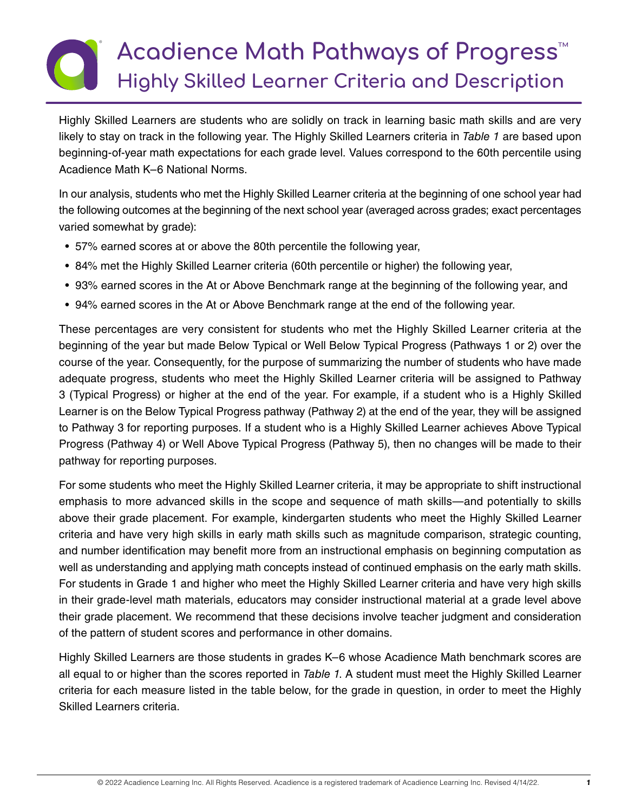## **Acadience Math Pathways of Progress**™ **Highly Skilled Learner Criteria and Description**

Highly Skilled Learners are students who are solidly on track in learning basic math skills and are very likely to stay on track in the following year. The Highly Skilled Learners criteria in *Table 1* are based upon beginning-of-year math expectations for each grade level. Values correspond to the 60th percentile using Acadience Math K–6 National Norms.

In our analysis, students who met the Highly Skilled Learner criteria at the beginning of one school year had the following outcomes at the beginning of the next school year (averaged across grades; exact percentages varied somewhat by grade):

- 57% earned scores at or above the 80th percentile the following year,
- 84% met the Highly Skilled Learner criteria (60th percentile or higher) the following year,
- 93% earned scores in the At or Above Benchmark range at the beginning of the following year, and
- 94% earned scores in the At or Above Benchmark range at the end of the following year.

These percentages are very consistent for students who met the Highly Skilled Learner criteria at the beginning of the year but made Below Typical or Well Below Typical Progress (Pathways 1 or 2) over the course of the year. Consequently, for the purpose of summarizing the number of students who have made adequate progress, students who meet the Highly Skilled Learner criteria will be assigned to Pathway 3 (Typical Progress) or higher at the end of the year. For example, if a student who is a Highly Skilled Learner is on the Below Typical Progress pathway (Pathway 2) at the end of the year, they will be assigned to Pathway 3 for reporting purposes. If a student who is a Highly Skilled Learner achieves Above Typical Progress (Pathway 4) or Well Above Typical Progress (Pathway 5), then no changes will be made to their pathway for reporting purposes.

For some students who meet the Highly Skilled Learner criteria, it may be appropriate to shift instructional emphasis to more advanced skills in the scope and sequence of math skills—and potentially to skills above their grade placement. For example, kindergarten students who meet the Highly Skilled Learner criteria and have very high skills in early math skills such as magnitude comparison, strategic counting, and number identification may benefit more from an instructional emphasis on beginning computation as well as understanding and applying math concepts instead of continued emphasis on the early math skills. For students in Grade 1 and higher who meet the Highly Skilled Learner criteria and have very high skills in their grade-level math materials, educators may consider instructional material at a grade level above their grade placement. We recommend that these decisions involve teacher judgment and consideration of the pattern of student scores and performance in other domains.

Highly Skilled Learners are those students in grades K–6 whose Acadience Math benchmark scores are all equal to or higher than the scores reported in *Table 1*. A student must meet the Highly Skilled Learner criteria for each measure listed in the table below, for the grade in question, in order to meet the Highly Skilled Learners criteria.